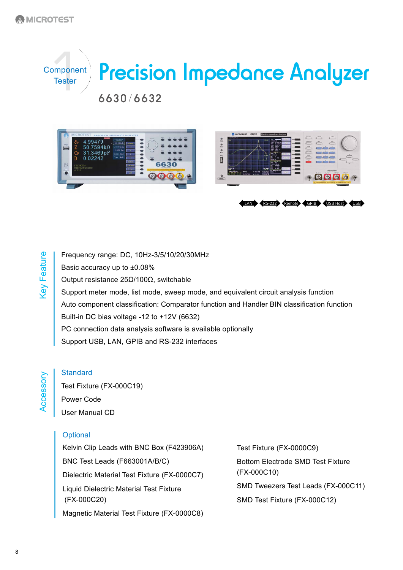





LAN RS-232 Remote GPIB USB Host USB

Frequency range: DC, 10Hz-3/5/10/20/30MHz Basic accuracy up to ±0.08% Output resistance 25Ω/100Ω, switchable Support meter mode, list mode, sweep mode, and equivalent circuit analysis function Auto component classification: Comparator function and Handler BIN classification function Built-in DC bias voltage -12 to +12V (6632) PC connection data analysis software is available optionally Support USB, LAN, GPIB and RS-232 interfaces

**Accessory** 

Key Feature

**Key Feature** 

**Standard** 

Test Fixture (FX-000C19) Power Code User Manual CD

#### **Optional**

Kelvin Clip Leads with BNC Box (F423906A) BNC Test Leads (F663001A/B/C) Dielectric Material Test Fixture (FX-0000C7) Liquid Dielectric Material Test Fixture (FX-000C20) Magnetic Material Test Fixture (FX-0000C8)

Test Fixture (FX-0000C9) Bottom Electrode SMD Test Fixture (FX-000C10) SMD Tweezers Test Leads (FX-000C11) SMD Test Fixture (FX-000C12)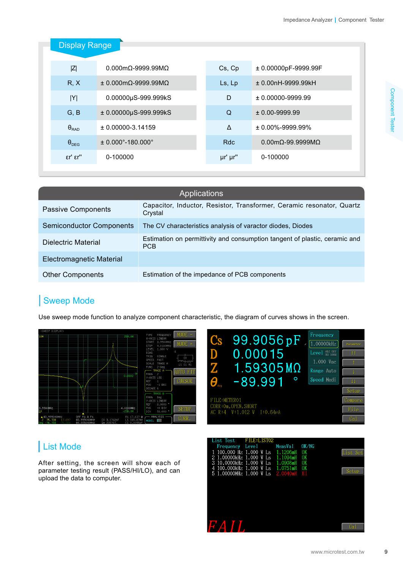| <b>Display Range</b>          |                                       |            |                                          |  |  |  |
|-------------------------------|---------------------------------------|------------|------------------------------------------|--|--|--|
| Z                             | $0.000$ m $\Omega$ -9999.99M $\Omega$ | Cs, Cp     | ± 0.00000pF-9999.99F                     |  |  |  |
| R, X                          | $± 0.000$ m $Ω$ -9999.99M $Ω$         | Ls, Lp     | ± 0.00nH-9999.99kH                       |  |  |  |
| Y                             | 0.00000µS-999.999kS                   | D          | $± 0.00000-9999.99$                      |  |  |  |
| G, B                          | $± 0.00000\mu S-999.999kS$            | Q          | $± 0.00-9999.99$                         |  |  |  |
| $\theta_{\text{RAD}}$         | $\pm$ 0.00000-3.14159                 | Δ          | $\pm 0.00\% - 9999.99\%$                 |  |  |  |
| $\theta_{DEG}$                | $± 0.000°-180.000°$                   | <b>Rdc</b> | $0.00 \text{m}\Omega$ -99.9999M $\Omega$ |  |  |  |
| $\epsilon r$ ' $\epsilon r$ " | 0-100000                              | µr' µr"    | 0-100000                                 |  |  |  |

| Applications                    |                                                                                   |  |  |  |  |
|---------------------------------|-----------------------------------------------------------------------------------|--|--|--|--|
| Passive Components              | Capacitor, Inductor, Resistor, Transformer, Ceramic resonator, Quartz<br>Crystal  |  |  |  |  |
| <b>Semiconductor Components</b> | The CV characteristics analysis of varactor diodes, Diodes                        |  |  |  |  |
| Dielectric Material             | Estimation on permittivity and consumption tangent of plastic, ceramic and<br>PCB |  |  |  |  |
| Electromagnetic Material        |                                                                                   |  |  |  |  |
| <b>Other Components</b>         | Estimation of the impedance of PCB components                                     |  |  |  |  |

#### Sweep Mode

Use sweep mode function to analyze component characteristic, the diagram of curves shows in the screen.





### List Mode

After setting, the screen will show each of parameter testing result (PASS/HI/LO), and can upload the data to computer.

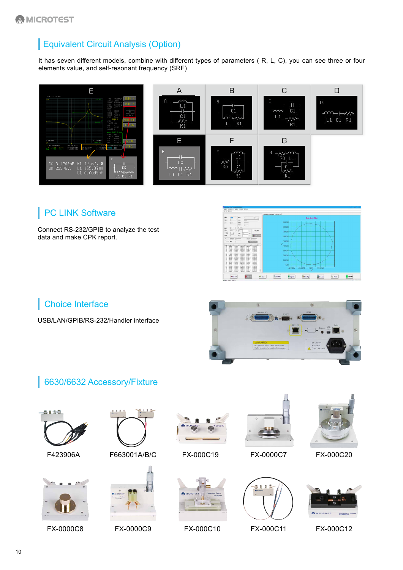# Equivalent Circuit Analysis (Option)

It has seven different models, combine with different types of parameters ( R, L, C), you can see three or four elements value, and self-resonant frequency (SRF)



### **PC LINK Software**

Connect RS-232/GPIB to analyze the test data and make CPK report.

|                                                                                                                                                                                                                                                                                                          | Personnel Vancouver Criticia Film                                  |                    |                        |               |                |  |
|----------------------------------------------------------------------------------------------------------------------------------------------------------------------------------------------------------------------------------------------------------------------------------------------------------|--------------------------------------------------------------------|--------------------|------------------------|---------------|----------------|--|
| stu<br>$\alpha x$<br>$\sim$<br>Noi<br>Fino-<br><b>INT</b><br>Firm                                                                                                                                                                                                                                        | Cole-Cole Plot                                                     |                    |                        |               |                |  |
| Eco<br>iz*<br>281<br>294:<br>$p_{int}$                                                                                                                                                                                                                                                                   |                                                                    | 90,003<br>80.00M   |                        |               |                |  |
| et a<br><b>DA</b><br><b>TROP</b><br>X <sub>2</sub><br>5x<br>□ 校定条件<br>п<br>а<br>$+600$<br>126<br>248                                                                                                                                                                                                     |                                                                    | 7000M              |                        |               |                |  |
| 6.9<br><b>STATISTICS</b><br><b>Nd</b><br>$\overline{12}$<br>m<br>Where.<br><b>MAND</b><br><b>ANG</b><br>$\frac{1}{2}$<br>×                                                                                                                                                                               |                                                                    | 60,003             |                        |               |                |  |
| Contracto<br><b>CONSULTER</b><br>$-2$<br>$T_{\rm eff}$<br>$2 - 1$<br><b>Keep</b><br>w                                                                                                                                                                                                                    |                                                                    | 50.00M<br>w        |                        |               |                |  |
| $N = 1$<br>JOING ( EDGEND) LOCK-<br>2.000 video<br>382<br>2,6962<br>-13080. ANIMAIS -15030. A 1808-005<br><b>NO</b><br>3 YALL<br>-18754. SHOEHEL JAMES. 61828-000<br>364<br>2,7066<br>-12080. 13085-01. 1316-1. 1218-001<br>383<br>1,569.                                                                |                                                                    | 40,00M<br>30,003.9 |                        |               |                |  |
| JANEA LATRING ANNA ASSOCIATE<br>154<br>2,7066<br>-13000-0-4.0000-000-0-4.000-000<br>BUT INSIDE.<br>47000, \$1000.00 4.500. 7100.000<br>333<br>3,5854<br><b>Vote</b><br>-17650. ATMMS -14789. 7258-009<br>3 KYOUR                                                                                         |                                                                    | 20,00M             |                        |               |                |  |
| -1788-0. 5.9995-01 -1.9995-1. 6.9126-005<br>$-2.8646$<br><b>WA</b><br>$-17180 -$<br>5202-90 33520- 41909-009<br>361<br>2,8056<br>-10030. AUSS-00 4,000- 11000-000<br>1 NORTH<br>wer<br><b>MA</b><br>14730. 5218-01 -14735. 4118-00<br>2.8656<br>JANEO, ARTH-IN JANE - 7,4000-000<br><b>SGC</b><br>2.803L |                                                                    | 10.00M             |                        |               |                |  |
| LINES, LAUDING ANCH., LINEAGO<br>381<br>2,885.0<br>18150, 1752-00 J.Milly, 41472-009<br>the<br>3. 50 TAX<br>-12084. AFTER-IN ANIMAL SAKE-005<br>W1<br>24054<br>15780, 4860-00 3200-, 5470-00<br>966<br>2.56MA                                                                                            |                                                                    | 0.00<br>$-40$ mXeM | <b>STITUM</b><br>0.000 | <b>STORIK</b> |                |  |
| 20 1904. (1004). (300-01 0.000). (100-000<br>1909. - 1996-1. 1996-01 -1935-1. 1206-00<br>$-400$<br>61 3,005 - 15130 - 4,988-01 3,189-<br>5.0676-008                                                                                                                                                      |                                                                    |                    | w                      |               |                |  |
| $Q_{\text{avg}}$ for<br>+ Ser Ter                                                                                                                                                                                                                                                                        | <i><b><u><i><u><b>Cleation</b></u></i></u></b></i><br><b>Q</b> And | <b>D</b> Screen    | <b>Estre Buy</b>       | Ser des       | <b>B</b> Print |  |

## Choice Interface

USB/LAN/GPIB/RS-232/Handler interface



#### 6630/6632 Accessory/Fixture







F423906A F663001A/B/C



FX-0000C8 FX-0000C9 FX-000C10 FX-000C12



FX-000C19



FX-0000C7 FX-000C20





#### FX-000C11